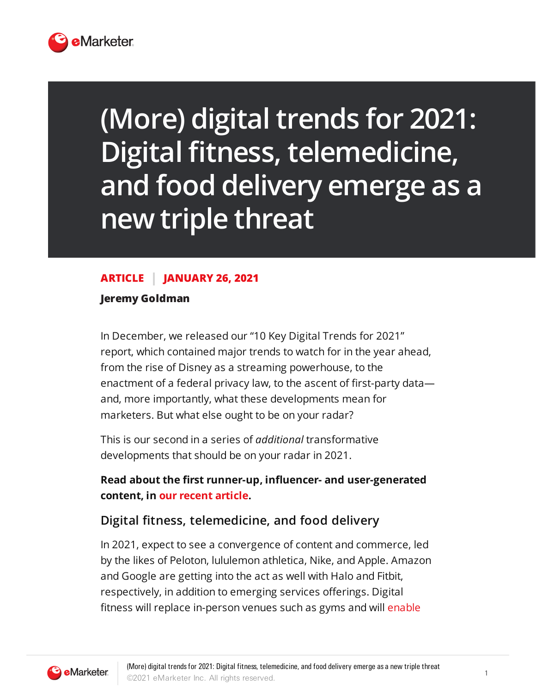

## **(More) digitaltrends for 2021: Digital fitness, telemedicine, and food delivery emerge as a new triple threat**

## **ARTICLE JANUARY 26, 2021**

**Jeremy Goldman**

In December, we released our "10 Key Digital Trends for 2021" report, which contained major trends to watch for in the year ahead, from the rise of Disney as a streaming powerhouse, to the enactment of a federal privacy law, to the ascent of first-party data and, more importantly, what these developments mean for marketers. But what else ought to be on your radar?

This is our second in a series of *additional* transformative developments that should be on your radar in 2021.

**Read about the first runner-up, influencer- and user-generated content, in our recent article.**

## **Digital fitness, telemedicine, and food delivery**

In 2021, expect to see a convergence of content and commerce, led by the likes of Peloton, lululemon athletica, Nike, and Apple. Amazon and Google are getting into the act as well with Halo and Fitbit, respectively, in addition to emerging services offerings. Digital fitness will replace in-person venues such as gyms and will [enable](https://www.theguardian.com/lifeandstyle/2019/aug/19/the-rise-of-digital-fitness-can-the-new-wave-of-high-intensity-home-workouts-replace-the-gym)

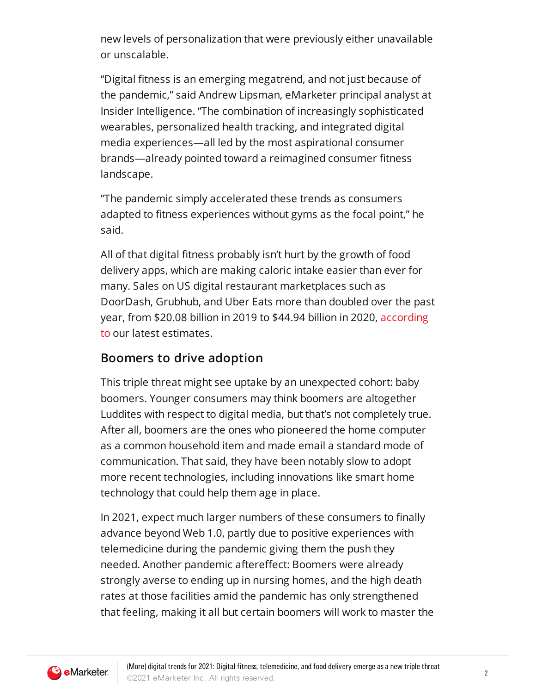new levels of personalization that were previously either unavailable or unscalable.

"Digital fitness is an emerging megatrend, and not just because of the pandemic," said Andrew Lipsman, eMarketer principal analyst at Insider Intelligence. "The combination of increasingly sophisticated wearables, personalized health tracking, and integrated digital media experiences—all led by the most aspirational consumer brands—already pointed toward a reimagined consumer fitness landscape.

"The pandemic simply accelerated these trends as consumers adapted to fitness experiences without gyms as the focal point," he said.

All of that digital fitness probably isn't hurt by the growth of food delivery apps, which are making caloric intake easier than ever for many. Sales on US digital restaurant marketplaces such as DoorDash, Grubhub, and Uber Eats more than doubled over the past year, from \$20.08 billion in 2019 to \$44.94 billion in 2020, according to our latest [estimates.](https://prolink.emarketer.com/forecasts/5fd976c18f00520d046a4908/5fd974a58f00520d046a4904)

## **Boomers to drive adoption**

This triple threat might see uptake by an unexpected cohort: baby boomers. Younger consumers may think boomers are altogether Luddites with respect to digital media, but that's not completely true. After all, boomers are the ones who pioneered the home computer as a common household item and made email a standard mode of communication. That said, they have been notably slow to adopt more recent technologies, including innovations like smart home technology that could help them age in place.

In 2021, expect much larger numbers of these consumers to finally advance beyond Web 1.0, partly due to positive experiences with telemedicine during the pandemic giving them the push they needed. Another pandemic aftereffect: Boomers were already strongly averse to ending up in nursing homes, and the high death rates at those facilities amid the pandemic has only strengthened that feeling, making it all but certain boomers will work to master the